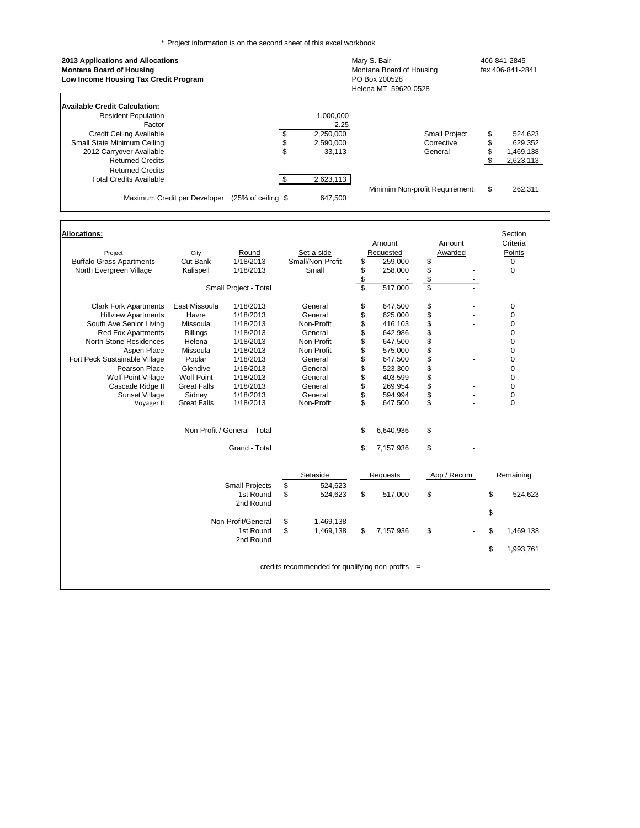\* Project information is on the second sheet of this excel workbook

| 2013 Applications and Allocations<br><b>Montana Board of Housing</b><br>Low Income Housing Tax Credit Program |                     |           | Mary S. Bair<br>Montana Board of Housing<br>PO Box 200528<br>Helena MT 59620-0528 | 406-841-2845<br>fax 406-841-2841 |           |  |  |
|---------------------------------------------------------------------------------------------------------------|---------------------|-----------|-----------------------------------------------------------------------------------|----------------------------------|-----------|--|--|
| Available Credit Calculation:<br><b>Resident Population</b>                                                   |                     | 1.000.000 |                                                                                   |                                  |           |  |  |
| Factor                                                                                                        |                     | 2.25      |                                                                                   |                                  |           |  |  |
| Credit Ceiling Available                                                                                      | \$                  | 2,250,000 | <b>Small Project</b>                                                              | \$                               | 524,623   |  |  |
| Small State Minimum Ceiling                                                                                   | \$                  | 2,590,000 | Corrective                                                                        |                                  | 629,352   |  |  |
| 2012 Carryover Available                                                                                      | \$                  | 33,113    | General                                                                           |                                  | 1,469,138 |  |  |
| <b>Returned Credits</b>                                                                                       |                     |           |                                                                                   |                                  | 2,623,113 |  |  |
| <b>Returned Credits</b>                                                                                       |                     |           |                                                                                   |                                  |           |  |  |
| Total Credits Available                                                                                       | \$                  | 2,623,113 |                                                                                   |                                  |           |  |  |
| Maximum Credit per Developer                                                                                  | $(25% of ceiling \$ | 647,500   | Minimim Non-profit Requirement:                                                   | \$                               | 262,311   |  |  |

| <b>Allocations:</b>             |                    |                              |                                                  |                         |           |             |             |    | Section   |
|---------------------------------|--------------------|------------------------------|--------------------------------------------------|-------------------------|-----------|-------------|-------------|----|-----------|
|                                 |                    |                              |                                                  |                         | Amount    |             | Amount      |    | Criteria  |
| Project                         | City               | Round                        | Set-a-side                                       |                         | Requested |             | Awarded     |    | Points    |
| <b>Buffalo Grass Apartments</b> | Cut Bank           | 1/18/2013                    | Small/Non-Profit                                 | \$                      | 259,000   | \$          |             |    | 0         |
| North Evergreen Village         | Kalispell          | 1/18/2013                    | Small                                            | \$                      | 258,000   |             |             |    | 0         |
|                                 |                    |                              |                                                  |                         |           | \$<br>\$    |             |    |           |
|                                 |                    | Small Project - Total        |                                                  | $\overline{\mathbb{S}}$ | 517,000   |             |             |    |           |
| <b>Clark Fork Apartments</b>    | East Missoula      | 1/18/2013                    | General                                          | \$                      | 647,500   | \$          |             |    | 0         |
| <b>Hillview Apartments</b>      | Havre              | 1/18/2013                    | General                                          | \$                      | 625,000   |             |             |    | 0         |
| South Ave Senior Living         | Missoula           | 1/18/2013                    | Non-Profit                                       | \$                      | 416,103   | \$          |             |    | 0         |
| <b>Red Fox Apartments</b>       | <b>Billings</b>    | 1/18/2013                    | General                                          | \$                      | 642,986   | \$          |             |    | 0         |
| North Stone Residences          | Helena             | 1/18/2013                    | Non-Profit                                       | \$                      | 647,500   | \$          |             |    | 0         |
| Aspen Place                     | Missoula           | 1/18/2013                    | Non-Profit                                       | \$                      | 575,000   |             |             |    | 0         |
| Fort Peck Sustainable Village   | Poplar             | 1/18/2013                    | General                                          | \$                      | 647,500   | \$          |             |    | 0         |
| Pearson Place                   | Glendive           | 1/18/2013                    | General                                          | \$                      | 523,300   | \$          |             |    | 0         |
| Wolf Point Village              | <b>Wolf Point</b>  | 1/18/2013                    | General                                          | \$                      | 403,599   |             |             | 0  |           |
| Cascade Ridge II                | <b>Great Falls</b> | 1/18/2013                    | General                                          | \$                      | 269,954   | $\ddot{\$}$ |             |    | 0         |
| Sunset Village                  | Sidney             | 1/18/2013                    | General                                          | \$                      | 594.994   | \$          |             |    | 0         |
| Voyager II                      | <b>Great Falls</b> | 1/18/2013                    | Non-Profit                                       |                         | 647,500   |             |             |    | $\Omega$  |
|                                 |                    | Non-Profit / General - Total |                                                  | \$                      | 6,640,936 | \$          |             |    |           |
|                                 |                    | Grand - Total                |                                                  | \$                      | 7,157,936 | \$          |             |    |           |
|                                 |                    |                              | Setaside                                         |                         | Requests  |             | App / Recom |    | Remaining |
|                                 |                    | <b>Small Projects</b>        | \$<br>524,623                                    |                         |           |             |             |    |           |
|                                 |                    | 1st Round                    | \$<br>524,623                                    | \$                      | 517,000   | \$          |             | \$ | 524,623   |
|                                 |                    | 2nd Round                    |                                                  |                         |           |             |             |    |           |
|                                 |                    |                              |                                                  |                         |           |             |             | \$ |           |
|                                 |                    | Non-Profit/General           | \$<br>1,469,138                                  |                         |           |             |             |    |           |
|                                 |                    | 1st Round                    | \$<br>1,469,138                                  | \$                      | 7,157,936 | \$          |             | \$ | 1,469,138 |
|                                 |                    | 2nd Round                    |                                                  |                         |           |             |             |    |           |
|                                 |                    |                              |                                                  |                         |           |             |             | \$ | 1,993,761 |
|                                 |                    |                              |                                                  |                         |           |             |             |    |           |
|                                 |                    |                              | credits recommended for qualifying non-profits = |                         |           |             |             |    |           |
|                                 |                    |                              |                                                  |                         |           |             |             |    |           |
|                                 |                    |                              |                                                  |                         |           |             |             |    |           |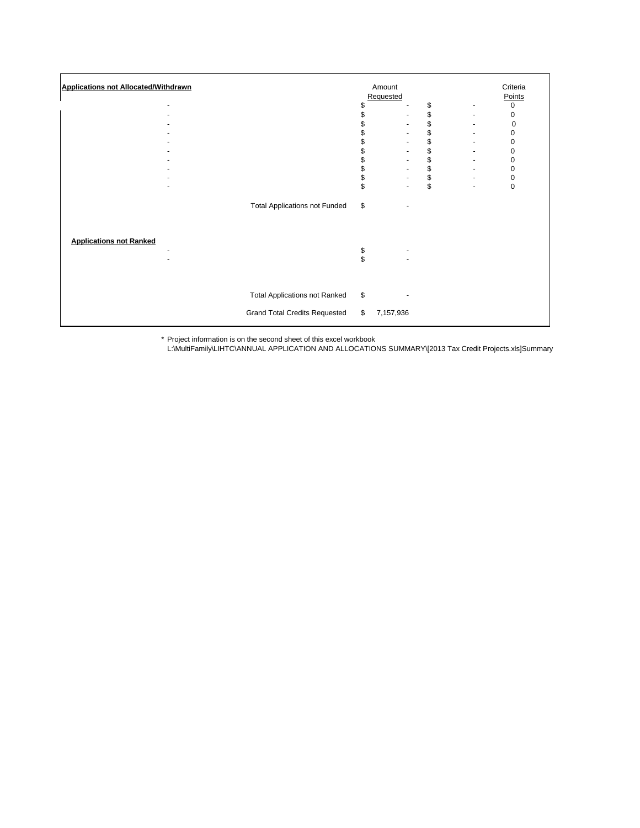| <b>Applications not Allocated/Withdrawn</b> |                                                                              | \$<br>\$             | Amount<br>Requested | \$<br>\$<br>\$<br>\$<br>\$<br>\$<br>\$ | Criteria<br>Points<br>0<br>0<br>0<br>0<br>0<br>0<br>0 |
|---------------------------------------------|------------------------------------------------------------------------------|----------------------|---------------------|----------------------------------------|-------------------------------------------------------|
|                                             | <b>Total Applications not Funded</b>                                         | \$<br>\$<br>\$<br>\$ |                     | \$<br>\$<br>$\,$                       | 0<br>0<br>$\mathbf 0$                                 |
| <b>Applications not Ranked</b>              |                                                                              | \$<br>\$             |                     |                                        |                                                       |
|                                             | <b>Total Applications not Ranked</b><br><b>Grand Total Credits Requested</b> | \$<br>\$             | 7,157,936           |                                        |                                                       |

\* Project information is on the second sheet of this excel workbook

L:\MultiFamily\LIHTC\ANNUAL APPLICATION AND ALLOCATIONS SUMMARY\[2013 Tax Credit Projects.xls]Summary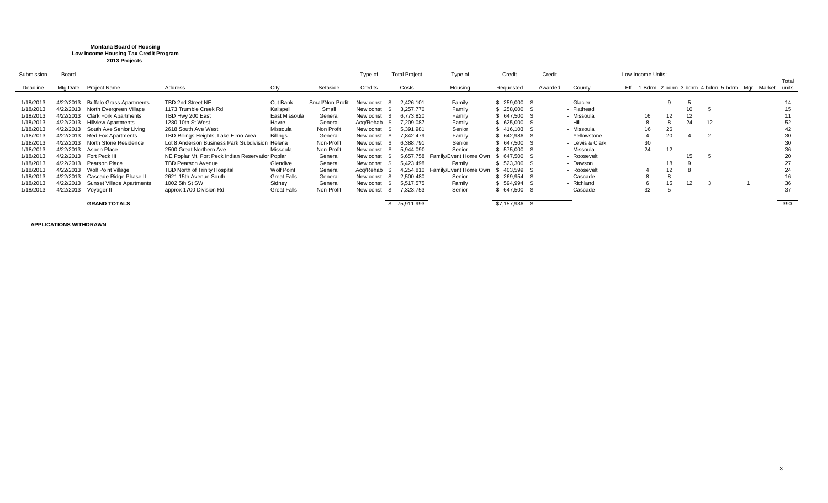## **Montana Board of Housing Low Income Housing Tax Credit Program 2013 Projects**

| Submission | Board     |                                  |                                                   |                    |                  | Type of   | <b>Total Project</b> | Type of               | Credit      | Credit  |                 | Low Income Units: |    |    |     |                                                         |       |
|------------|-----------|----------------------------------|---------------------------------------------------|--------------------|------------------|-----------|----------------------|-----------------------|-------------|---------|-----------------|-------------------|----|----|-----|---------------------------------------------------------|-------|
|            |           |                                  |                                                   |                    |                  |           |                      |                       |             |         |                 |                   |    |    |     |                                                         | Total |
| Deadline   | Mtg Date  | Project Name                     | Address                                           | City               | Setaside         | Credits   | Costs                | Housing               | Requested   | Awarded | County          |                   |    |    |     | Eff 1-Bdrm 2-bdrm 3-bdrm 4-bdrm 5-bdrm Mgr Market units |       |
|            |           |                                  |                                                   |                    |                  |           |                      |                       |             |         |                 |                   |    |    |     |                                                         |       |
| 1/18/2013  | 4/22/2013 | <b>Buffalo Grass Apartments</b>  | TBD 2nd Street NE                                 | Cut Bank           | Small/Non-Profit | New const | 2.426.101            | Family                | 259,000     |         | - Glacier       |                   |    |    |     |                                                         |       |
| 1/18/2013  | 4/22/2013 | North Evergreen Village          | 1173 Trumble Creek Rd                             | Kalispell          | Small            | New const | 3.257.770            | Family                | \$258,000   |         | - Flathead      |                   |    |    |     |                                                         |       |
| 1/18/2013  | 4/22/2013 | <b>Clark Fork Apartments</b>     | TBD Hwy 200 East                                  | East Missoula      | General          | New const | 6.773.820            | Family                | 647,500     |         | - Missoula      |                   | 16 | 12 | 12  |                                                         |       |
| 1/18/2013  | 4/22/2013 | <b>Hillview Apartments</b>       | 1280 10th St West                                 | Havre              | General          | Acq/Rehab | 7,209,087            | Family                | 625,000     |         | $-$ Hill        |                   | õ  |    | 24  | 12                                                      | 52    |
| 1/18/2013  | 4/22/2013 | South Ave Senior Living          | 2618 South Ave West                               | Missoula           | Non Profit       | New const | 5.391.981            | Senior                | 416,103 \$  |         | - Missoula      |                   | 16 | 26 |     |                                                         | 42    |
| 1/18/2013  | 4/22/2013 | <b>Red Fox Apartments</b>        | TBD-Billings Heights, Lake Elmo Area              | <b>Billings</b>    | General          | New const | 7.842.479            | Family                | 642,986     |         | - Yellowstone   |                   |    | 20 |     |                                                         | 30    |
| 1/18/2013  | 4/22/2013 | North Stone Residence            | Lot 8 Anderson Business Park Subdivision Helena   |                    | Non-Profit       | New const | 6.388.791            | Senior                | 647,500     |         | - Lewis & Clark |                   | 30 |    |     |                                                         | 30    |
| 1/18/2013  |           | 4/22/2013 Aspen Place            | 2500 Great Northern Ave                           | Missoula           | Non-Profit       | New const | 5,944,090            | Senior                | 575,000     |         | - Missoula      |                   | 24 | 12 |     |                                                         |       |
| 1/18/2013  | 4/22/2013 | Fort Peck III                    | NE Poplar Mt, Fort Peck Indian Reservatior Poplar |                    | General          | New const | 5.657.758            | Family/Event Home Own | 647.500     |         | - Roosevelt     |                   |    |    | 15. |                                                         | 20    |
| 1/18/2013  | 4/22/2013 | Pearson Place                    | <b>TBD Pearson Avenue</b>                         | Glendive           | General          | New const | 5.423.498            | Family                | 523.300     |         | - Dawson        |                   |    | 18 |     |                                                         | 27    |
| 1/18/2013  | 4/22/2013 | Wolf Point Village               | TBD North of Trinity Hospital                     | <b>Wolf Point</b>  | General          | Acq/Rehab | 4.254.810            | Familv/Event Home Own | 403,599     |         | - Roosevelt     |                   |    | 12 | õ   |                                                         | 24    |
| 1/18/2013  | 4/22/2013 | Cascade Ridge Phase II           | 2621 15th Avenue South                            | <b>Great Falls</b> | General          | New const | 2.500.480            | Senior                | \$269,954   |         | - Cascade       |                   |    |    |     |                                                         | 16    |
| 1/18/2013  | 4/22/2013 | <b>Sunset Village Apartments</b> | 1002 5th St SW                                    | Sidney             | General          | New const | 5.517.575            | Family                | 594,994     |         | - Richland      |                   |    | 15 |     |                                                         | 36    |
| 1/18/2013  | 4/22/2013 | Voyager II                       | approx 1700 Division Rd                           | <b>Great Falls</b> | Non-Profit       | New const | 7.323.753            | Senior                | 647,500     |         | - Cascade       |                   | 32 |    |     |                                                         | 37    |
|            |           |                                  |                                                   |                    |                  |           |                      |                       |             |         |                 |                   |    |    |     |                                                         |       |
|            |           | <b>GRAND TOTALS</b>              |                                                   |                    |                  |           | \$75,911,993         |                       | \$7,157,936 |         |                 |                   |    |    |     |                                                         | 390   |

**APPLICATIONS WITHDRAWN**